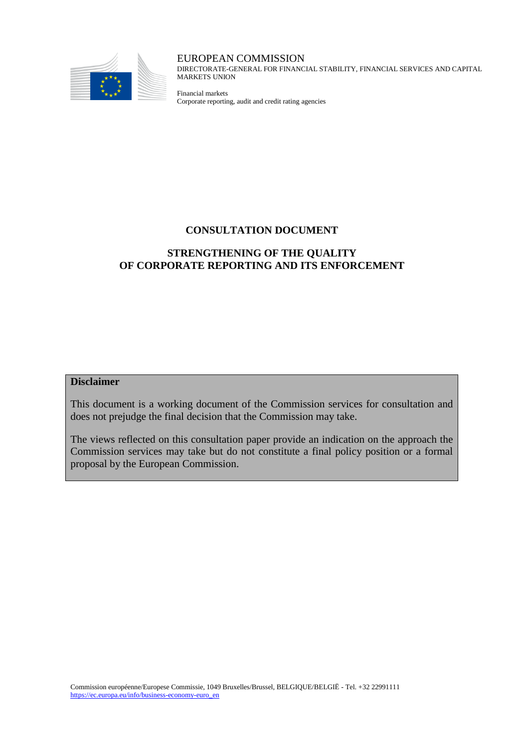

#### EUROPEAN COMMISSION DIRECTORATE-GENERAL FOR FINANCIAL STABILITY, FINANCIAL SERVICES AND CAPITAL MARKETS UNION

Financial markets Corporate reporting, audit and credit rating agencies

## **CONSULTATION DOCUMENT**

## **STRENGTHENING OF THE QUALITY OF CORPORATE REPORTING AND ITS ENFORCEMENT**

## **Disclaimer**

This document is a working document of the Commission services for consultation and does not prejudge the final decision that the Commission may take.

The views reflected on this consultation paper provide an indication on the approach the Commission services may take but do not constitute a final policy position or a formal proposal by the European Commission.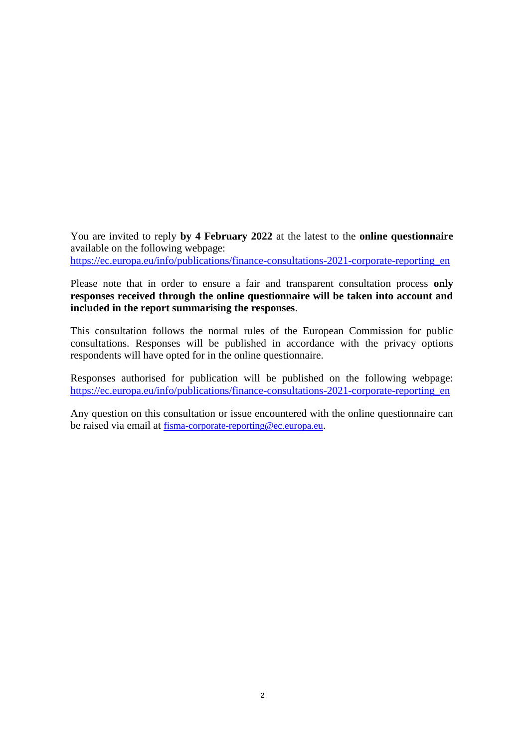You are invited to reply **by 4 February 2022** at the latest to the **online questionnaire** available on the following webpage: https://ec.europa.eu/info/publications/finance-consultations-2021-corporate-reporting en

Please note that in order to ensure a fair and transparent consultation process **only responses received through the online questionnaire will be taken into account and included in the report summarising the responses**.

This consultation follows the normal rules of the European Commission for public consultations. Responses will be published in accordance with the privacy options respondents will have opted for in the online questionnaire.

Responses authorised for publication will be published on the following webpage: [https://ec.europa.eu/info/publications/finance-consultations-2021-corporate-reporting\\_en](https://ec.europa.eu/info/publications/finance-consultations-2021-corporate-reporting_en)

Any question on this consultation or issue encountered with the online questionnaire can be raised via email at [fisma-corporate-reporting@ec.europa.eu](mailto:fisma-corporate-reporting@ec.europa.eu).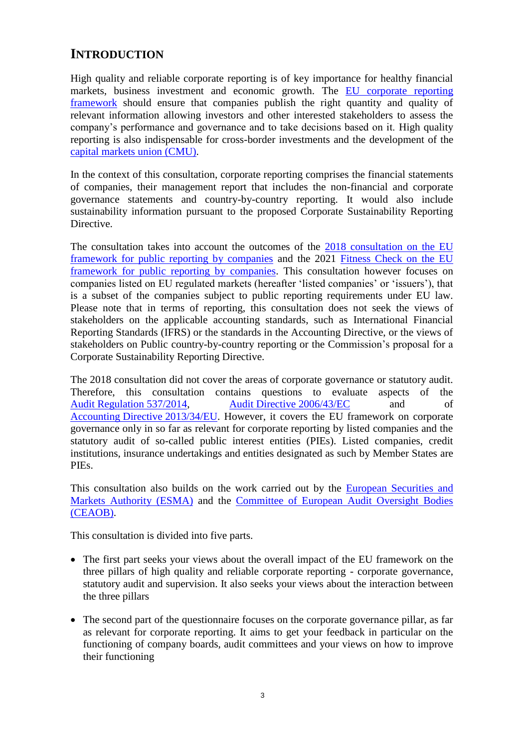# **INTRODUCTION**

High quality and reliable corporate reporting is of key importance for healthy financial markets, business investment and economic growth. The **EU** corporate reporting [framework](https://ec.europa.eu/info/business-economy-euro/company-reporting-and-auditing_en) should ensure that companies publish the right quantity and quality of relevant information allowing investors and other interested stakeholders to assess the company's performance and governance and to take decisions based on it. High quality reporting is also indispensable for cross-border investments and the development of the [capital markets union \(CMU\).](https://ec.europa.eu/info/business-economy-euro/growth-and-investment/capital-markets-union_en)

In the context of this consultation, corporate reporting comprises the financial statements of companies, their management report that includes the non-financial and corporate governance statements and country-by-country reporting. It would also include sustainability information pursuant to the proposed Corporate Sustainability Reporting Directive.

The consultation takes into account the outcomes of the 2018 [consultation on the EU](https://ec.europa.eu/info/consultations/finance-2018-companies-public-reporting_en)  [framework for public reporting by companies](https://ec.europa.eu/info/consultations/finance-2018-companies-public-reporting_en) and the 2021 [Fitness Check on the EU](https://eur-lex.europa.eu/legal-content/EN/TXT/?uri=CELEX:52021SC0081)  [framework for public reporting by companies.](https://eur-lex.europa.eu/legal-content/EN/TXT/?uri=CELEX:52021SC0081) This consultation however focuses on companies listed on EU regulated markets (hereafter 'listed companies' or 'issuers'), that is a subset of the companies subject to public reporting requirements under EU law. Please note that in terms of reporting, this consultation does not seek the views of stakeholders on the applicable accounting standards, such as International Financial Reporting Standards (IFRS) or the standards in the Accounting Directive, or the views of stakeholders on Public country-by-country reporting or the Commission's proposal for a Corporate Sustainability Reporting Directive.

The 2018 consultation did not cover the areas of corporate governance or statutory audit. Therefore, this consultation contains questions to evaluate aspects of the Audit [Regulation](https://eur-lex.europa.eu/legal-content/EN/TXT/?uri=CELEX:32014R0537) 537/2014, Audit Directive [2006/43/EC](http://eur-lex.europa.eu/legal-content/EN/TXT/?uri=CELEX:32006L0043) and of Accounting Directive [2013/34/EU.](https://eur-lex.europa.eu/legal-content/EN/TXT/?uri=CELEX:32013L0034) However, it covers the EU framework on corporate governance only in so far as relevant for corporate reporting by listed companies and the statutory audit of so-called public interest entities (PIEs). Listed companies, credit institutions, insurance undertakings and entities designated as such by Member States are PIEs.

This consultation also builds on the work carried out by the European Securities and [Markets Authority \(ESMA\)](https://www.esma.europa.eu/) and the Committee of European Audit Oversight Bodies [\(CEAOB\).](https://ec.europa.eu/info/ceaob)

This consultation is divided into five parts.

- The first part seeks your views about the overall impact of the EU framework on the three pillars of high quality and reliable corporate reporting - corporate governance, statutory audit and supervision. It also seeks your views about the interaction between the three pillars
- The second part of the questionnaire focuses on the corporate governance pillar, as far as relevant for corporate reporting. It aims to get your feedback in particular on the functioning of company boards, audit committees and your views on how to improve their functioning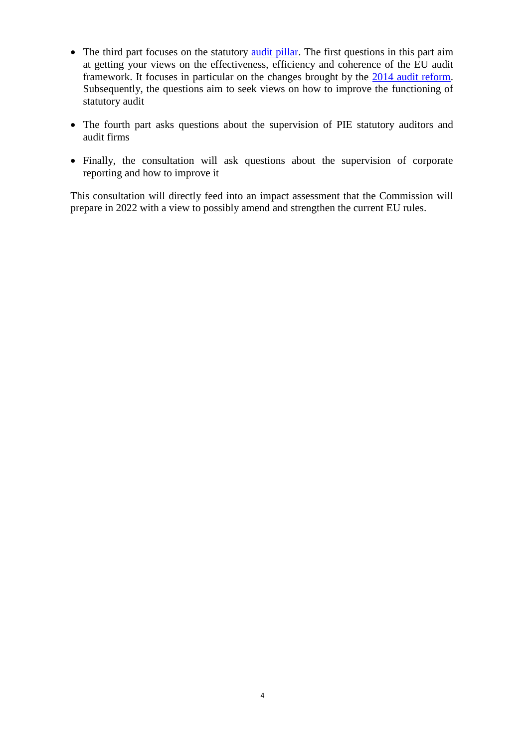- The third part focuses on the statutory **audit pillar**. The first questions in this part aim at getting your views on the effectiveness, efficiency and coherence of the EU audit framework. It focuses in particular on the changes brought by the [2014 audit reform.](https://ec.europa.eu/info/business-economy-euro/company-reporting-and-auditing/auditing-companies-financial-statements_en#audit-reform-in-the-eu) Subsequently, the questions aim to seek views on how to improve the functioning of statutory audit
- The fourth part asks questions about the supervision of PIE statutory auditors and audit firms
- Finally, the consultation will ask questions about the supervision of corporate reporting and how to improve it

This consultation will directly feed into an impact assessment that the Commission will prepare in 2022 with a view to possibly amend and strengthen the current EU rules.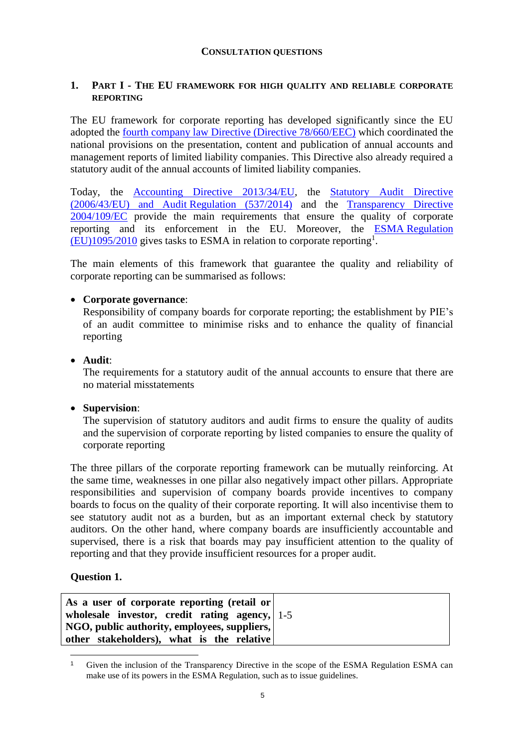#### **CONSULTATION QUESTIONS**

#### **1. PART I - THE EU FRAMEWORK FOR HIGH QUALITY AND RELIABLE CORPORATE REPORTING**

The EU framework for corporate reporting has developed significantly since the EU adopted the [fourth company law Directive \(Directive 78/660/EEC\)](https://eur-lex.europa.eu/legal-content/EN/TXT/?uri=CELEX:31978L0660) which coordinated the national provisions on the presentation, content and publication of annual accounts and management reports of limited liability companies. This Directive also already required a statutory audit of the annual accounts of limited liability companies.

Today, the [Accounting Directive 2013/34/EU,](https://eur-lex.europa.eu/legal-content/EN/TXT/?uri=CELEX:32013L0034) the [Statutory Audit Directive](https://eur-lex.europa.eu/legal-content/EN/TXT/?uri=CELEX:32006L0043)  [\(2006/43/EU\)](https://eur-lex.europa.eu/legal-content/EN/TXT/?uri=CELEX:32006L0043) and Audit [Regulation \(537/2014\)](https://eur-lex.europa.eu/legal-content/EN/TXT/?uri=CELEX:32014R0537) and the [Transparency Directive](https://eur-lex.europa.eu/legal-content/EN/TXT/?uri=CELEX:32004L0109)  [2004/109/EC](https://eur-lex.europa.eu/legal-content/EN/TXT/?uri=CELEX:32004L0109) provide the main requirements that ensure the quality of corporate reporting and its enforcement in the EU. Moreover, the ESMA [Regulation](https://eur-lex.europa.eu/legal-content/EN/TXT/?uri=CELEX:32010R1095)  [\(EU\)1095/2010](https://eur-lex.europa.eu/legal-content/EN/TXT/?uri=CELEX:32010R1095) gives tasks to ESMA in relation to corporate reporting<sup>1</sup>.

The main elements of this framework that guarantee the quality and reliability of corporate reporting can be summarised as follows:

#### **Corporate governance**:

Responsibility of company boards for corporate reporting; the establishment by PIE's of an audit committee to minimise risks and to enhance the quality of financial reporting

#### **Audit**:

The requirements for a statutory audit of the annual accounts to ensure that there are no material misstatements

#### **Supervision**:

The supervision of statutory auditors and audit firms to ensure the quality of audits and the supervision of corporate reporting by listed companies to ensure the quality of corporate reporting

The three pillars of the corporate reporting framework can be mutually reinforcing. At the same time, weaknesses in one pillar also negatively impact other pillars. Appropriate responsibilities and supervision of company boards provide incentives to company boards to focus on the quality of their corporate reporting. It will also incentivise them to see statutory audit not as a burden, but as an important external check by statutory auditors. On the other hand, where company boards are insufficiently accountable and supervised, there is a risk that boards may pay insufficient attention to the quality of reporting and that they provide insufficient resources for a proper audit.

#### **Question 1.**

**As a user of corporate reporting (retail or wholesale investor, credit rating agency,**  1-5 **NGO, public authority, employees, suppliers, other stakeholders), what is the relative** 

 $\overline{a}$ <sup>1</sup> Given the inclusion of the Transparency Directive in the scope of the ESMA Regulation ESMA can make use of its powers in the ESMA Regulation, such as to issue guidelines.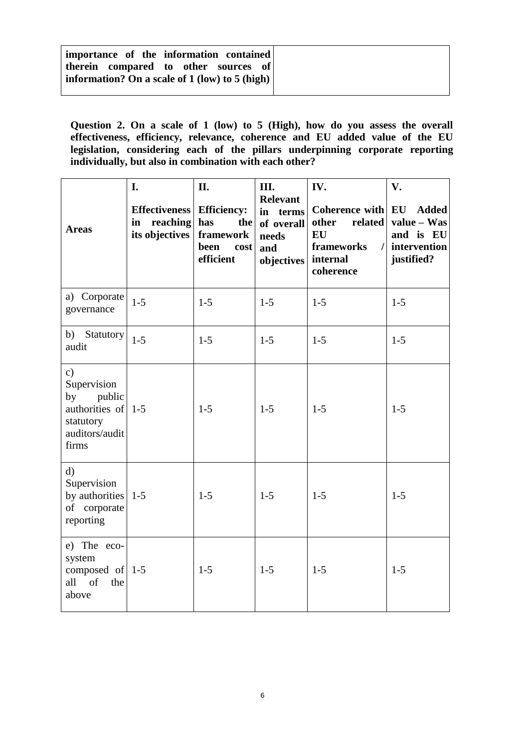| importance of the information contained                |
|--------------------------------------------------------|
| therein compared to other sources of                   |
| information? On a scale of 1 (low) to 5 (high) $\vert$ |
|                                                        |

**Question 2. On a scale of 1 (low) to 5 (High), how do you assess the overall effectiveness, efficiency, relevance, coherence and EU added value of the EU legislation, considering each of the pillars underpinning corporate reporting individually, but also in combination with each other?**

| <b>Areas</b>                                                                                               | I.<br><b>Effectiveness</b> Efficiency:<br>in reaching has<br>its objectives | II.<br>the<br>framework<br>been<br>cost<br>efficient | III.<br><b>Relevant</b><br>in terms<br>of overall<br>needs<br>and<br>objectives | IV.<br>Coherence with EU Added<br>other<br>related<br><b>EU</b><br>frameworks<br>$\prime$<br>internal<br>coherence | V.<br>value - Was<br>and is EU<br>intervention<br>justified? |
|------------------------------------------------------------------------------------------------------------|-----------------------------------------------------------------------------|------------------------------------------------------|---------------------------------------------------------------------------------|--------------------------------------------------------------------------------------------------------------------|--------------------------------------------------------------|
| a) Corporate<br>governance                                                                                 | $1 - 5$                                                                     | $1 - 5$                                              | $1 - 5$                                                                         | $1 - 5$                                                                                                            | $1 - 5$                                                      |
| b) Statutory<br>audit                                                                                      | $1 - 5$                                                                     | $1 - 5$                                              | $1 - 5$                                                                         | $1 - 5$                                                                                                            | $1 - 5$                                                      |
| $\mathbf{c})$<br>Supervision<br>public<br>by<br>authorities of 1-5<br>statutory<br>auditors/audit<br>firms |                                                                             | $1 - 5$                                              | $1 - 5$                                                                         | $1 - 5$                                                                                                            | $1 - 5$                                                      |
| $\mathbf{d}$<br>Supervision<br>by authorities $\vert$ 1-5<br>of corporate<br>reporting                     |                                                                             | $1 - 5$                                              | $1 - 5$                                                                         | $1 - 5$                                                                                                            | $1 - 5$                                                      |
| e) The eco-<br>system<br>composed of $ 1-5 $<br>of<br>the<br>all<br>above                                  |                                                                             | $1 - 5$                                              | $1 - 5$                                                                         | $1 - 5$                                                                                                            | $1 - 5$                                                      |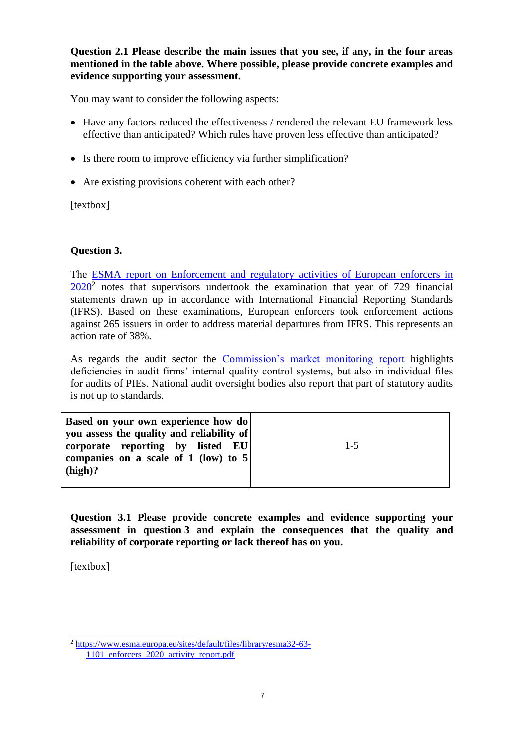**Question 2.1 Please describe the main issues that you see, if any, in the four areas mentioned in the table above. Where possible, please provide concrete examples and evidence supporting your assessment.** 

You may want to consider the following aspects:

- Have any factors reduced the effectiveness / rendered the relevant EU framework less effective than anticipated? Which rules have proven less effective than anticipated?
- Is there room to improve efficiency via further simplification?
- Are existing provisions coherent with each other?

[textbox]

#### **Question 3.**

The [ESMA report on Enforcement and regulatory activities of European enforcers in](https://www.esma.europa.eu/sites/default/files/library/esma32-63-1101_enforcers_2020_activity_report.pdf)   $2020<sup>2</sup>$  $2020<sup>2</sup>$  notes that supervisors undertook the examination that year of 729 financial statements drawn up in accordance with International Financial Reporting Standards (IFRS). Based on these examinations, European enforcers took enforcement actions against 265 issuers in order to address material departures from IFRS. This represents an action rate of 38%.

As regards the audit sector the [Commission's market monitoring report](https://eur-lex.europa.eu/legal-content/EN/TXT/?uri=CELEX:52021DC0029) highlights deficiencies in audit firms' internal quality control systems, but also in individual files for audits of PIEs. National audit oversight bodies also report that part of statutory audits is not up to standards.

| Based on your own experience how do<br>you assess the quality and reliability of      |         |
|---------------------------------------------------------------------------------------|---------|
| corporate reporting by listed EU<br>companies on a scale of 1 (low) to $5$<br>(high)? | $1 - 5$ |

**Question 3.1 Please provide concrete examples and evidence supporting your assessment in question 3 and explain the consequences that the quality and reliability of corporate reporting or lack thereof has on you.**

 $\overline{a}$ <sup>2</sup> [https://www.esma.europa.eu/sites/default/files/library/esma32-63-](https://www.esma.europa.eu/sites/default/files/library/esma32-63-1101_enforcers_2020_activity_report.pdf) [1101\\_enforcers\\_2020\\_activity\\_report.pdf](https://www.esma.europa.eu/sites/default/files/library/esma32-63-1101_enforcers_2020_activity_report.pdf)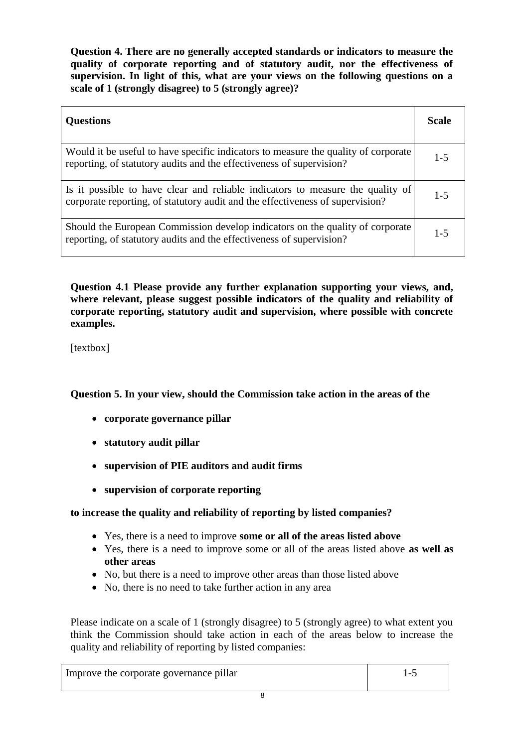**Question 4. There are no generally accepted standards or indicators to measure the quality of corporate reporting and of statutory audit, nor the effectiveness of supervision. In light of this, what are your views on the following questions on a scale of 1 (strongly disagree) to 5 (strongly agree)?**

| <b>Questions</b>                                                                                                                                                | <b>Scale</b> |
|-----------------------------------------------------------------------------------------------------------------------------------------------------------------|--------------|
| Would it be useful to have specific indicators to measure the quality of corporate<br>reporting, of statutory audits and the effectiveness of supervision?      | $1 - 5$      |
| Is it possible to have clear and reliable indicators to measure the quality of<br>corporate reporting, of statutory audit and the effectiveness of supervision? | $1 - 5$      |
| Should the European Commission develop indicators on the quality of corporate<br>reporting, of statutory audits and the effectiveness of supervision?           | $1 - 5$      |

**Question 4.1 Please provide any further explanation supporting your views, and, where relevant, please suggest possible indicators of the quality and reliability of corporate reporting, statutory audit and supervision, where possible with concrete examples.** 

[textbox]

**Question 5. In your view, should the Commission take action in the areas of the**

- **corporate governance pillar**
- **statutory audit pillar**
- **supervision of PIE auditors and audit firms**
- **supervision of corporate reporting**

**to increase the quality and reliability of reporting by listed companies?**

- Yes, there is a need to improve **some or all of the areas listed above**
- Yes, there is a need to improve some or all of the areas listed above **as well as other areas**
- No, but there is a need to improve other areas than those listed above
- No, there is no need to take further action in any area

Please indicate on a scale of 1 (strongly disagree) to 5 (strongly agree) to what extent you think the Commission should take action in each of the areas below to increase the quality and reliability of reporting by listed companies:

| Improve the corporate governance pillar | ı |
|-----------------------------------------|---|
|                                         |   |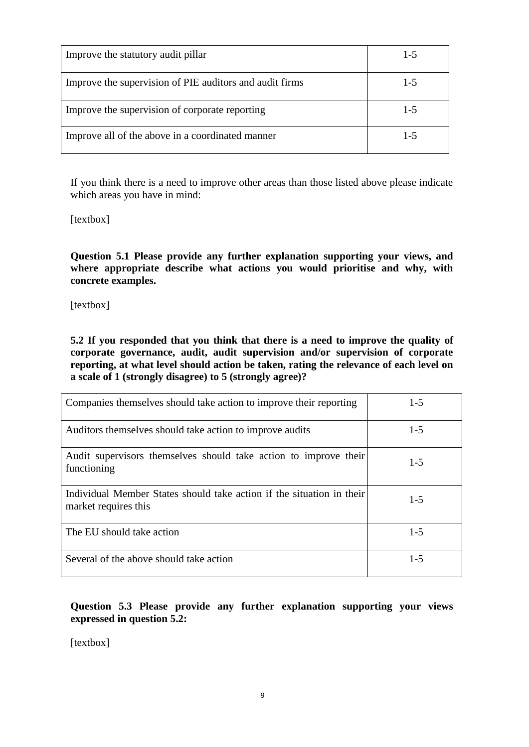| Improve the statutory audit pillar                      | $1 - 5$ |
|---------------------------------------------------------|---------|
| Improve the supervision of PIE auditors and audit firms | $1 - 5$ |
| Improve the supervision of corporate reporting          | $1 - 5$ |
| Improve all of the above in a coordinated manner        | $1 - 5$ |

If you think there is a need to improve other areas than those listed above please indicate which areas you have in mind:

[textbox]

**Question 5.1 Please provide any further explanation supporting your views, and where appropriate describe what actions you would prioritise and why, with concrete examples.** 

[textbox]

**5.2 If you responded that you think that there is a need to improve the quality of corporate governance, audit, audit supervision and/or supervision of corporate reporting, at what level should action be taken, rating the relevance of each level on a scale of 1 (strongly disagree) to 5 (strongly agree)?**

| Companies themselves should take action to improve their reporting                            | $1 - 5$ |
|-----------------------------------------------------------------------------------------------|---------|
| Auditors themselves should take action to improve audits                                      | $1 - 5$ |
| Audit supervisors themselves should take action to improve their<br>functioning               | $1 - 5$ |
| Individual Member States should take action if the situation in their<br>market requires this | $1 - 5$ |
| The EU should take action                                                                     | $1 - 5$ |
| Several of the above should take action                                                       | $1 - 5$ |

#### **Question 5.3 Please provide any further explanation supporting your views expressed in question 5.2:**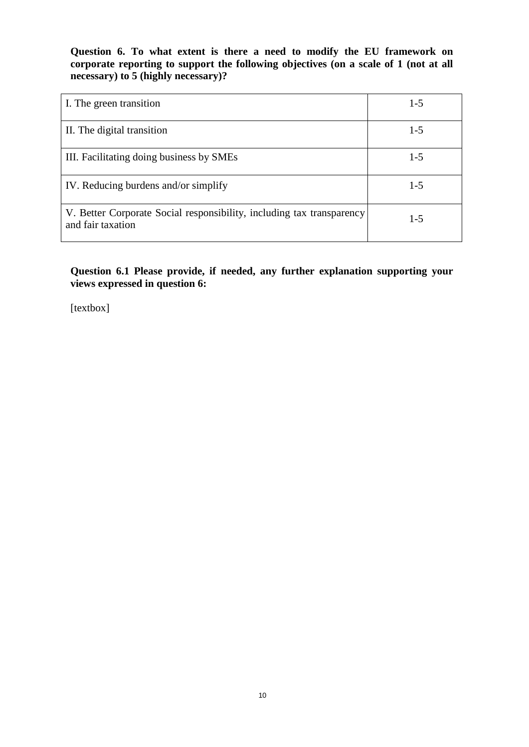**Question 6. To what extent is there a need to modify the EU framework on corporate reporting to support the following objectives (on a scale of 1 (not at all necessary) to 5 (highly necessary)?**

| I. The green transition                                                                    | $1-5$   |
|--------------------------------------------------------------------------------------------|---------|
| II. The digital transition                                                                 | $1 - 5$ |
| III. Facilitating doing business by SMEs                                                   | $1-5$   |
| IV. Reducing burdens and/or simplify                                                       | $1 - 5$ |
| V. Better Corporate Social responsibility, including tax transparency<br>and fair taxation | $1 - 5$ |

**Question 6.1 Please provide, if needed, any further explanation supporting your views expressed in question 6:**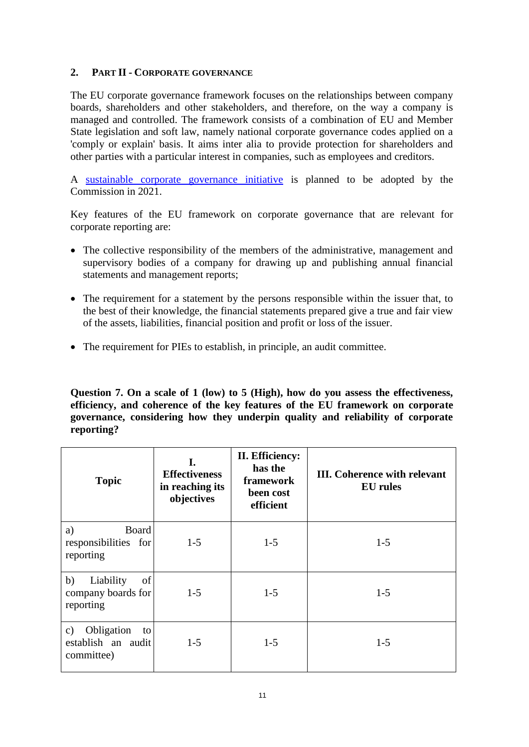### **2. PART II - CORPORATE GOVERNANCE**

The EU corporate governance framework focuses on the relationships between company boards, shareholders and other stakeholders, and therefore, on the way a company is managed and controlled. The framework consists of a combination of EU and Member State legislation and soft law, namely national corporate governance codes applied on a 'comply or explain' basis. It aims inter alia to provide protection for shareholders and other parties with a particular interest in companies, such as employees and creditors.

A [sustainable corporate governance initiative](https://ec.europa.eu/info/law/better-regulation/have-your-say/initiatives/12548-Sustainable-corporate-governance_en) is planned to be adopted by the Commission in 2021.

Key features of the EU framework on corporate governance that are relevant for corporate reporting are:

- The collective responsibility of the members of the administrative, management and supervisory bodies of a company for drawing up and publishing annual financial statements and management reports;
- The requirement for a statement by the persons responsible within the issuer that, to the best of their knowledge, the financial statements prepared give a true and fair view of the assets, liabilities, financial position and profit or loss of the issuer.
- The requirement for PIEs to establish, in principle, an audit committee.

**Question 7. On a scale of 1 (low) to 5 (High), how do you assess the effectiveness, efficiency, and coherence of the key features of the EU framework on corporate governance, considering how they underpin quality and reliability of corporate reporting?**

| <b>Topic</b>                                                          | I.<br><b>Effectiveness</b><br>in reaching its<br>objectives | II. Efficiency:<br>has the<br>framework<br>been cost<br>efficient | <b>III.</b> Coherence with relevant<br><b>EU</b> rules |
|-----------------------------------------------------------------------|-------------------------------------------------------------|-------------------------------------------------------------------|--------------------------------------------------------|
| Board<br>a)<br>responsibilities for<br>reporting                      | $1 - 5$                                                     | $1-5$                                                             | $1 - 5$                                                |
| b)<br>Liability<br>of<br>company boards for<br>reporting              | $1 - 5$                                                     | $1-5$                                                             | $1 - 5$                                                |
| Obligation<br>$\mathbf{c})$<br>to<br>establish an audit<br>committee) | $1-5$                                                       | $1-5$                                                             | $1-5$                                                  |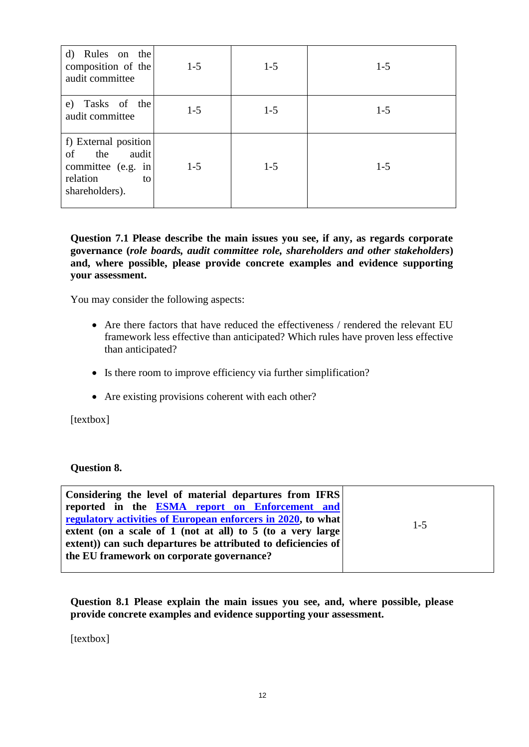| d) Rules on the<br>composition of the<br>audit committee                                          | $1 - 5$ | $1-5$   | $1 - 5$ |
|---------------------------------------------------------------------------------------------------|---------|---------|---------|
| e) Tasks of the<br>audit committee                                                                | $1-5$   | $1-5$   | $1-5$   |
| f) External position<br>audit<br>of the<br>committee (e.g. in<br>relation<br>to<br>shareholders). | $1 - 5$ | $1 - 5$ | $1 - 5$ |

**Question 7.1 Please describe the main issues you see, if any, as regards corporate governance (***role boards, audit committee role, shareholders and other stakeholders***) and, where possible, please provide concrete examples and evidence supporting your assessment.** 

You may consider the following aspects:

- Are there factors that have reduced the effectiveness / rendered the relevant EU framework less effective than anticipated? Which rules have proven less effective than anticipated?
- Is there room to improve efficiency via further simplification?
- Are existing provisions coherent with each other?

[textbox]

#### **Question 8.**

| the EU framework on corporate governance? |
|-------------------------------------------|
|-------------------------------------------|

**Question 8.1 Please explain the main issues you see, and, where possible, please provide concrete examples and evidence supporting your assessment.**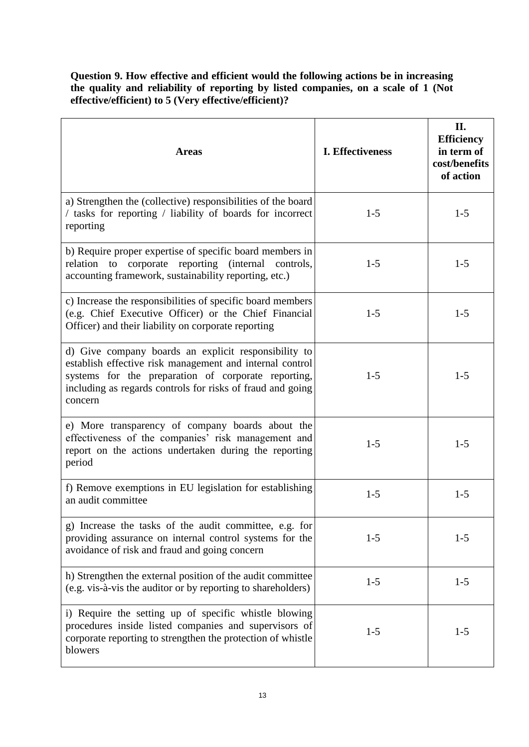## **Question 9. How effective and efficient would the following actions be in increasing the quality and reliability of reporting by listed companies, on a scale of 1 (Not effective/efficient) to 5 (Very effective/efficient)?**

| <b>Areas</b>                                                                                                                                                                                                                                     | <b>I. Effectiveness</b> | II.<br><b>Efficiency</b><br>in term of<br>cost/benefits<br>of action |
|--------------------------------------------------------------------------------------------------------------------------------------------------------------------------------------------------------------------------------------------------|-------------------------|----------------------------------------------------------------------|
| a) Strengthen the (collective) responsibilities of the board<br>/ tasks for reporting / liability of boards for incorrect<br>reporting                                                                                                           | $1-5$                   | $1-5$                                                                |
| b) Require proper expertise of specific board members in<br>relation to corporate reporting (internal controls,<br>accounting framework, sustainability reporting, etc.)                                                                         | $1 - 5$                 | $1-5$                                                                |
| c) Increase the responsibilities of specific board members<br>(e.g. Chief Executive Officer) or the Chief Financial<br>Officer) and their liability on corporate reporting                                                                       | $1 - 5$                 | $1 - 5$                                                              |
| d) Give company boards an explicit responsibility to<br>establish effective risk management and internal control<br>systems for the preparation of corporate reporting,<br>including as regards controls for risks of fraud and going<br>concern | $1 - 5$                 | $1-5$                                                                |
| e) More transparency of company boards about the<br>effectiveness of the companies' risk management and<br>report on the actions undertaken during the reporting<br>period                                                                       | $1 - 5$                 | $1 - 5$                                                              |
| f) Remove exemptions in EU legislation for establishing<br>an audit committee                                                                                                                                                                    | $1 - 5$                 | $1 - 5$                                                              |
| g) Increase the tasks of the audit committee, e.g. for<br>providing assurance on internal control systems for the<br>avoidance of risk and fraud and going concern                                                                               | $1 - 5$                 | $1 - 5$                                                              |
| h) Strengthen the external position of the audit committee<br>(e.g. vis-à-vis the auditor or by reporting to shareholders)                                                                                                                       | $1 - 5$                 | $1 - 5$                                                              |
| i) Require the setting up of specific whistle blowing<br>procedures inside listed companies and supervisors of<br>corporate reporting to strengthen the protection of whistle<br>blowers                                                         | $1 - 5$                 | $1-5$                                                                |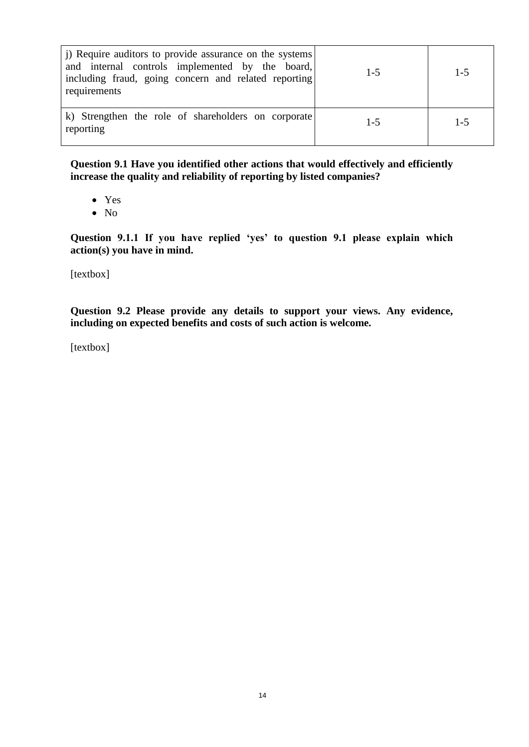| i) Require auditors to provide assurance on the systems<br>and internal controls implemented by the board,<br>including fraud, going concern and related reporting<br>requirements | $1 - 5$ | $1 - 5$ |
|------------------------------------------------------------------------------------------------------------------------------------------------------------------------------------|---------|---------|
| k) Strengthen the role of shareholders on corporate<br>reporting                                                                                                                   | $1 - 5$ | $1 - 5$ |

**Question 9.1 Have you identified other actions that would effectively and efficiently increase the quality and reliability of reporting by listed companies?**

- Yes
- $\bullet$  No

**Question 9.1.1 If you have replied 'yes' to question 9.1 please explain which action(s) you have in mind.** 

[textbox]

**Question 9.2 Please provide any details to support your views. Any evidence, including on expected benefits and costs of such action is welcome.**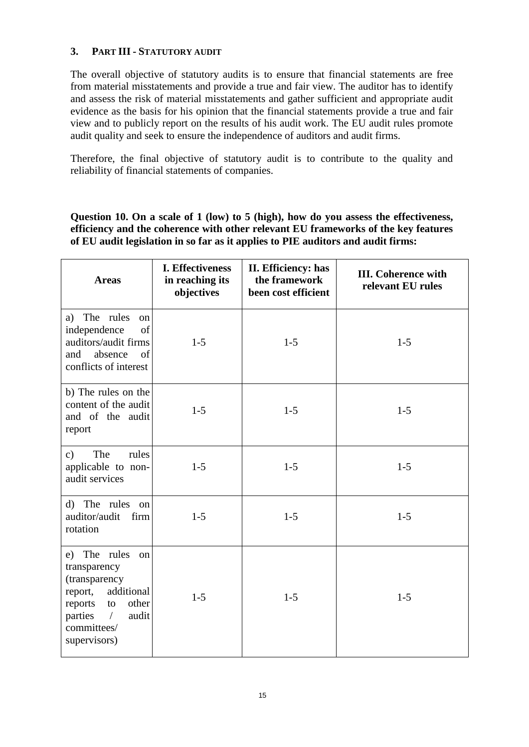## **3. PART III - STATUTORY AUDIT**

The overall objective of statutory audits is to ensure that financial statements are free from material misstatements and provide a true and fair view. The auditor has to identify and assess the risk of material misstatements and gather sufficient and appropriate audit evidence as the basis for his opinion that the financial statements provide a true and fair view and to publicly report on the results of his audit work. The EU audit rules promote audit quality and seek to ensure the independence of auditors and audit firms.

Therefore, the final objective of statutory audit is to contribute to the quality and reliability of financial statements of companies.

## **Question 10. On a scale of 1 (low) to 5 (high), how do you assess the effectiveness, efficiency and the coherence with other relevant EU frameworks of the key features of EU audit legislation in so far as it applies to PIE auditors and audit firms:**

| <b>Areas</b>                                                                                                                                                            | <b>I. Effectiveness</b><br>in reaching its<br>objectives | II. Efficiency: has<br>the framework<br>been cost efficient | <b>III.</b> Coherence with<br>relevant EU rules |
|-------------------------------------------------------------------------------------------------------------------------------------------------------------------------|----------------------------------------------------------|-------------------------------------------------------------|-------------------------------------------------|
| a) The rules<br>on<br>independence<br>of<br>auditors/audit firms<br>absence<br>of<br>and<br>conflicts of interest                                                       | $1 - 5$                                                  | $1 - 5$                                                     | $1 - 5$                                         |
| b) The rules on the<br>content of the audit<br>and of the audit<br>report                                                                                               | $1 - 5$                                                  | $1 - 5$                                                     | $1 - 5$                                         |
| The<br>$\mathbf{c})$<br>rules<br>applicable to non-<br>audit services                                                                                                   | $1 - 5$                                                  | $1 - 5$                                                     | $1 - 5$                                         |
| d) The rules<br>on<br>auditor/audit<br>firm<br>rotation                                                                                                                 | $1 - 5$                                                  | $1 - 5$                                                     | $1 - 5$                                         |
| e) The rules<br>on<br>transparency<br>(transparency<br>additional<br>report,<br>other<br>reports<br>to<br>parties<br>audit<br>$\sqrt{2}$<br>committees/<br>supervisors) | $1 - 5$                                                  | $1 - 5$                                                     | $1 - 5$                                         |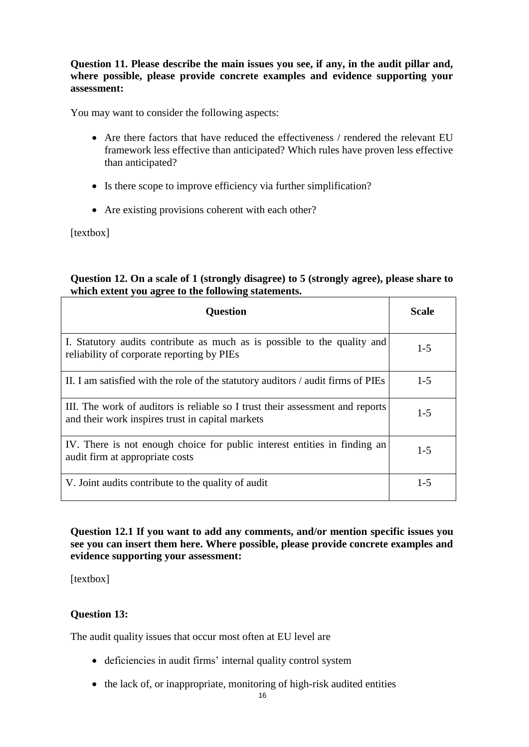**Question 11. Please describe the main issues you see, if any, in the audit pillar and, where possible, please provide concrete examples and evidence supporting your assessment:** 

You may want to consider the following aspects:

- Are there factors that have reduced the effectiveness / rendered the relevant EU framework less effective than anticipated? Which rules have proven less effective than anticipated?
- Is there scope to improve efficiency via further simplification?
- Are existing provisions coherent with each other?

[textbox]

#### **Question 12. On a scale of 1 (strongly disagree) to 5 (strongly agree), please share to which extent you agree to the following statements.**

| <b>Question</b>                                                                                                                   | Scale   |
|-----------------------------------------------------------------------------------------------------------------------------------|---------|
| I. Statutory audits contribute as much as is possible to the quality and<br>reliability of corporate reporting by PIEs            | $1 - 5$ |
| II. I am satisfied with the role of the statutory auditors / audit firms of PIEs                                                  | $1-5$   |
| III. The work of auditors is reliable so I trust their assessment and reports<br>and their work inspires trust in capital markets | $1 - 5$ |
| IV. There is not enough choice for public interest entities in finding an<br>audit firm at appropriate costs                      | $1 - 5$ |
| V. Joint audits contribute to the quality of audit                                                                                | $1-5$   |

### **Question 12.1 If you want to add any comments, and/or mention specific issues you see you can insert them here. Where possible, please provide concrete examples and evidence supporting your assessment:**

[textbox]

## **Question 13:**

The audit quality issues that occur most often at EU level are

- deficiencies in audit firms' internal quality control system
- the lack of, or inappropriate, monitoring of high-risk audited entities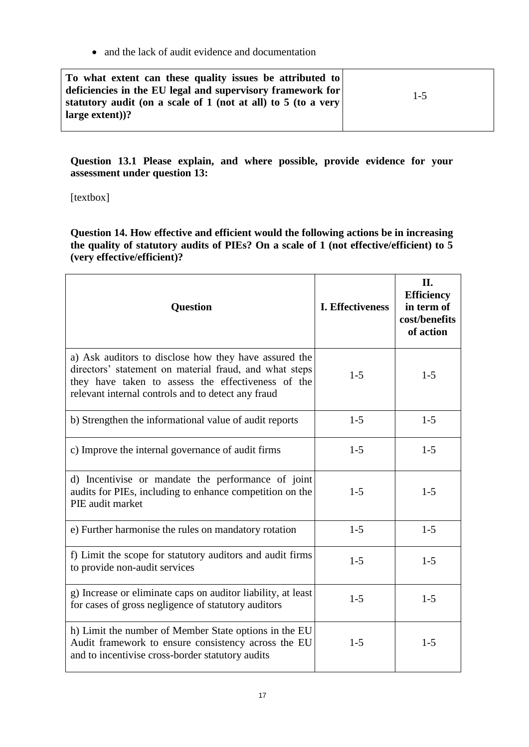• and the lack of audit evidence and documentation

**Question 13.1 Please explain, and where possible, provide evidence for your assessment under question 13:** 

[textbox]

**Question 14. How effective and efficient would the following actions be in increasing the quality of statutory audits of PIEs? On a scale of 1 (not effective/efficient) to 5 (very effective/efficient)?**

| <b>Question</b>                                                                                                                                                                                                             | <b>I. Effectiveness</b> | II.<br><b>Efficiency</b><br>in term of<br>cost/benefits<br>of action |
|-----------------------------------------------------------------------------------------------------------------------------------------------------------------------------------------------------------------------------|-------------------------|----------------------------------------------------------------------|
| a) Ask auditors to disclose how they have assured the<br>directors' statement on material fraud, and what steps<br>they have taken to assess the effectiveness of the<br>relevant internal controls and to detect any fraud | $1 - 5$                 | $1-5$                                                                |
| b) Strengthen the informational value of audit reports                                                                                                                                                                      | $1 - 5$                 | $1-5$                                                                |
| c) Improve the internal governance of audit firms                                                                                                                                                                           | $1 - 5$                 | $1-5$                                                                |
| d) Incentivise or mandate the performance of joint<br>audits for PIEs, including to enhance competition on the<br>PIE audit market                                                                                          | $1 - 5$                 | $1-5$                                                                |
| e) Further harmonise the rules on mandatory rotation                                                                                                                                                                        | $1 - 5$                 | $1 - 5$                                                              |
| f) Limit the scope for statutory auditors and audit firms<br>to provide non-audit services                                                                                                                                  | $1 - 5$                 | $1 - 5$                                                              |
| g) Increase or eliminate caps on auditor liability, at least<br>for cases of gross negligence of statutory auditors                                                                                                         | $1 - 5$                 | $1 - 5$                                                              |
| h) Limit the number of Member State options in the EU<br>Audit framework to ensure consistency across the EU<br>and to incentivise cross-border statutory audits                                                            | $1 - 5$                 | $1 - 5$                                                              |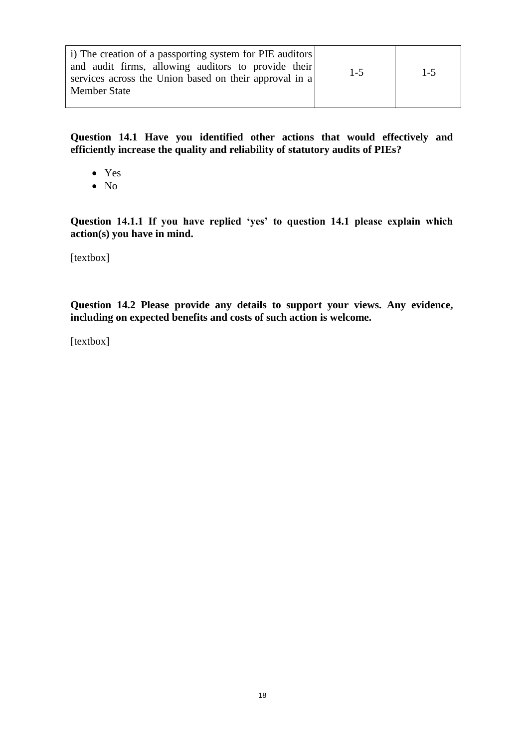| i) The creation of a passporting system for PIE auditors<br>and audit firms, allowing auditors to provide their<br>services across the Union based on their approval in a<br><b>Member State</b> | $1 - 5$ | $1-5$ |
|--------------------------------------------------------------------------------------------------------------------------------------------------------------------------------------------------|---------|-------|
|--------------------------------------------------------------------------------------------------------------------------------------------------------------------------------------------------|---------|-------|

**Question 14.1 Have you identified other actions that would effectively and efficiently increase the quality and reliability of statutory audits of PIEs?**

- Yes
- $\bullet$  No

**Question 14.1.1 If you have replied 'yes' to question 14.1 please explain which action(s) you have in mind.** 

[textbox]

**Question 14.2 Please provide any details to support your views. Any evidence, including on expected benefits and costs of such action is welcome.**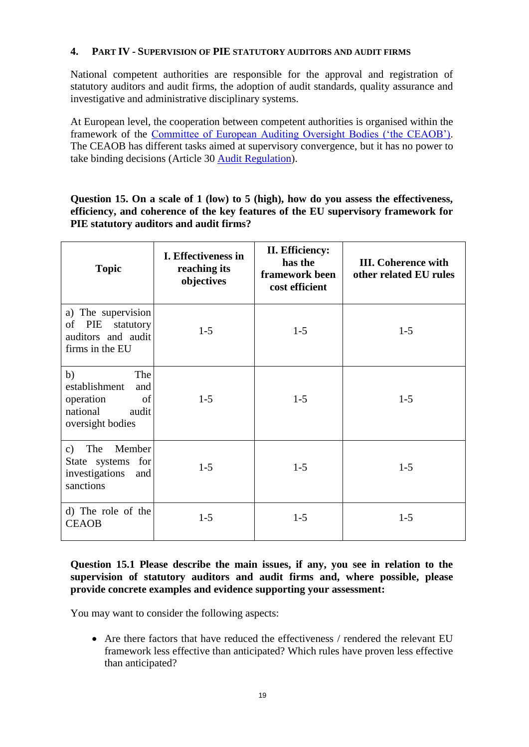#### **4. PART IV - SUPERVISION OF PIE STATUTORY AUDITORS AND AUDIT FIRMS**

National competent authorities are responsible for the approval and registration of statutory auditors and audit firms, the adoption of audit standards, quality assurance and investigative and administrative disciplinary systems.

At European level, the cooperation between competent authorities is organised within the framework of the [Committee of European Auditing Oversight Bodies \('the CEAOB'\).](https://ec.europa.eu/info/ceaob) The CEAOB has different tasks aimed at supervisory convergence, but it has no power to take binding decisions (Article 30 Audit [Regulation\)](https://eur-lex.europa.eu/legal-content/EN/TXT/?uri=CELEX:32014R0537).

#### **Question 15. On a scale of 1 (low) to 5 (high), how do you assess the effectiveness, efficiency, and coherence of the key features of the EU supervisory framework for PIE statutory auditors and audit firms?**

| <b>Topic</b>                                                                                  | I. Effectiveness in<br>reaching its<br>objectives | II. Efficiency:<br>has the<br>framework been<br>cost efficient | <b>III.</b> Coherence with<br>other related EU rules |
|-----------------------------------------------------------------------------------------------|---------------------------------------------------|----------------------------------------------------------------|------------------------------------------------------|
| a) The supervision<br>PIE<br>оf<br>statutory<br>auditors and audit<br>firms in the EU         | $1 - 5$                                           | $1 - 5$                                                        | $1 - 5$                                              |
| b)<br>The<br>establishment<br>and<br>operation<br>of<br>national<br>audit<br>oversight bodies | $1 - 5$                                           | $1 - 5$                                                        | $1 - 5$                                              |
| Member<br>The<br>c)<br>State systems for<br>investigations<br>and<br>sanctions                | $1 - 5$                                           | $1 - 5$                                                        | $1 - 5$                                              |
| d) The role of the<br><b>CEAOB</b>                                                            | $1-5$                                             | $1 - 5$                                                        | $1 - 5$                                              |

### **Question 15.1 Please describe the main issues, if any, you see in relation to the supervision of statutory auditors and audit firms and, where possible, please provide concrete examples and evidence supporting your assessment:**

You may want to consider the following aspects:

 Are there factors that have reduced the effectiveness / rendered the relevant EU framework less effective than anticipated? Which rules have proven less effective than anticipated?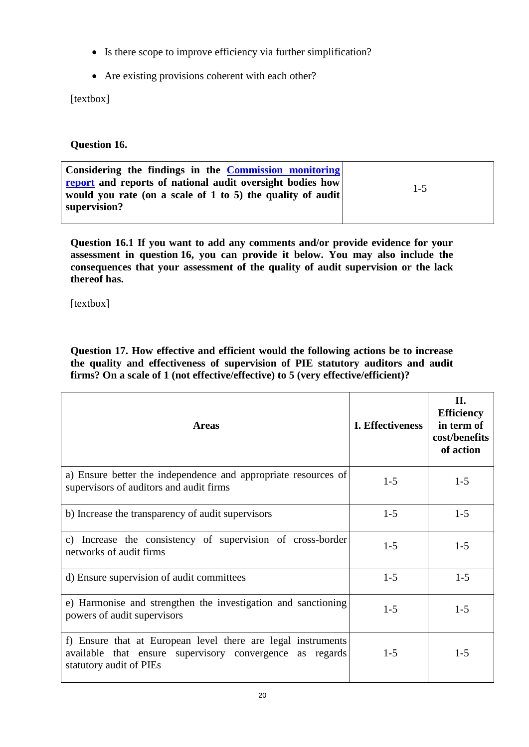- Is there scope to improve efficiency via further simplification?
- Are existing provisions coherent with each other?

[textbox]

**Question 16.**

**Question 16.1 If you want to add any comments and/or provide evidence for your assessment in question 16, you can provide it below. You may also include the consequences that your assessment of the quality of audit supervision or the lack thereof has.** 

[textbox]

**Question 17. How effective and efficient would the following actions be to increase the quality and effectiveness of supervision of PIE statutory auditors and audit firms? On a scale of 1 (not effective/effective) to 5 (very effective/efficient)?**

| <b>Areas</b>                                                                                                                                        | <b>I. Effectiveness</b> | П.<br><b>Efficiency</b><br>in term of<br>cost/benefits<br>of action |
|-----------------------------------------------------------------------------------------------------------------------------------------------------|-------------------------|---------------------------------------------------------------------|
| a) Ensure better the independence and appropriate resources of<br>supervisors of auditors and audit firms                                           | $1 - 5$                 | $1 - 5$                                                             |
| b) Increase the transparency of audit supervisors                                                                                                   | $1-5$                   | $1-5$                                                               |
| c) Increase the consistency of supervision of cross-border<br>networks of audit firms                                                               | $1-5$                   | $1-5$                                                               |
| d) Ensure supervision of audit committees                                                                                                           | $1-5$                   | $1-5$                                                               |
| e) Harmonise and strengthen the investigation and sanctioning<br>powers of audit supervisors                                                        | $1 - 5$                 | $1-5$                                                               |
| f) Ensure that at European level there are legal instruments<br>available that ensure supervisory convergence as regards<br>statutory audit of PIEs | $1-5$                   | $1 - 5$                                                             |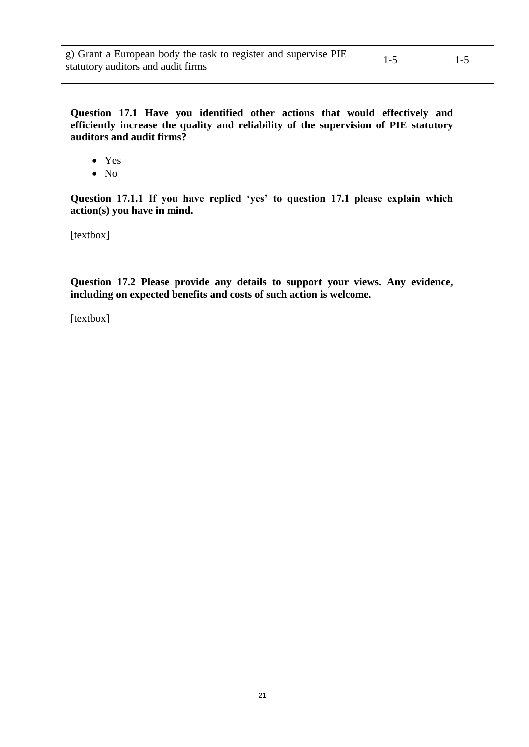| g) Grant a European body the task to register and supervise PIE | $1 - 5$ |
|-----------------------------------------------------------------|---------|
| statutory auditors and audit firms                              |         |

**Question 17.1 Have you identified other actions that would effectively and efficiently increase the quality and reliability of the supervision of PIE statutory auditors and audit firms?**

- Yes
- $\bullet$  No

**Question 17.1.1 If you have replied 'yes' to question 17.1 please explain which action(s) you have in mind.** 

[textbox]

**Question 17.2 Please provide any details to support your views. Any evidence, including on expected benefits and costs of such action is welcome.**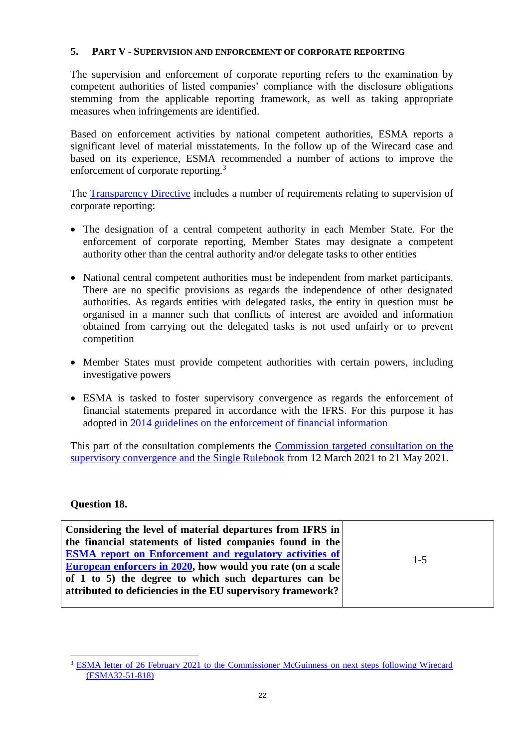#### **5. PART V - SUPERVISION AND ENFORCEMENT OF CORPORATE REPORTING**

The supervision and enforcement of corporate reporting refers to the examination by competent authorities of listed companies' compliance with the disclosure obligations stemming from the applicable reporting framework, as well as taking appropriate measures when infringements are identified.

Based on enforcement activities by national competent authorities, ESMA reports a significant level of material misstatements. In the follow up of the Wirecard case and based on its experience, ESMA recommended a number of actions to improve the enforcement of corporate reporting.<sup>3</sup>

The [Transparency Directive](https://eur-lex.europa.eu/legal-content/EN/TXT/?uri=CELEX:32004L0109) includes a number of requirements relating to supervision of corporate reporting:

- The designation of a central competent authority in each Member State. For the enforcement of corporate reporting, Member States may designate a competent authority other than the central authority and/or delegate tasks to other entities
- National central competent authorities must be independent from market participants. There are no specific provisions as regards the independence of other designated authorities. As regards entities with delegated tasks, the entity in question must be organised in a manner such that conflicts of interest are avoided and information obtained from carrying out the delegated tasks is not used unfairly or to prevent competition
- Member States must provide competent authorities with certain powers, including investigative powers
- ESMA is tasked to foster supervisory convergence as regards the enforcement of financial statements prepared in accordance with the IFRS. For this purpose it has adopted in [2014 guidelines on the enforcement of financial information](guidelines%20on%20the%20enforcement%20of%20financial%20information)

This part of the consultation complements the Commission targeted consultation on the [supervisory convergence and the Single Rulebook](https://ec.europa.eu/info/publications/finance-consultations-2021-esas-review_en) from 12 March 2021 to 21 May 2021.

## **Question 18.**

 $\overline{a}$ 

| Considering the level of material departures from IFRS in      |         |
|----------------------------------------------------------------|---------|
| the financial statements of listed companies found in the      |         |
| <b>ESMA</b> report on Enforcement and regulatory activities of | $1 - 5$ |
| European enforcers in 2020, how would you rate (on a scale)    |         |
| of 1 to 5) the degree to which such departures can be          |         |
| attributed to deficiencies in the EU supervisory framework?    |         |
|                                                                |         |

<sup>&</sup>lt;sup>3</sup> ESMA letter of 26 February 2021 to the Commissioner McGuinness on next steps following Wirecard [\(ESMA32-51-818\)](https://www.esma.europa.eu/sites/default/files/library/esma32-51-818_letter_to_the_ec_on_next_steps_following_wirecard.pdf)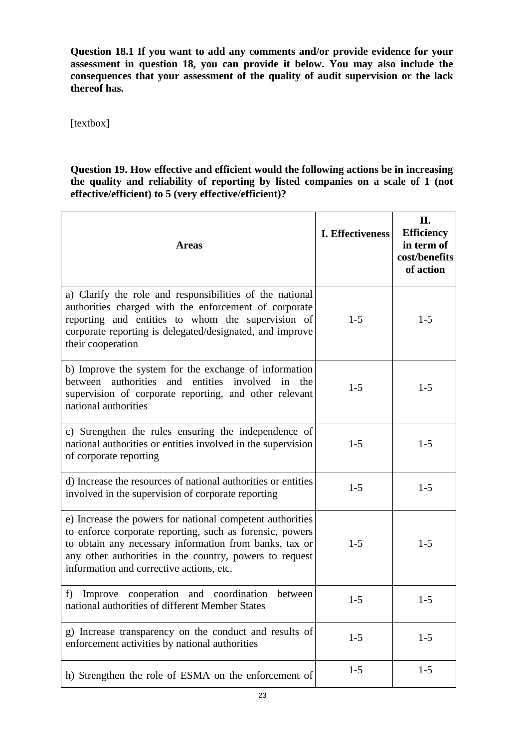**Question 18.1 If you want to add any comments and/or provide evidence for your assessment in question 18, you can provide it below. You may also include the consequences that your assessment of the quality of audit supervision or the lack thereof has.** 

[textbox]

**Question 19. How effective and efficient would the following actions be in increasing the quality and reliability of reporting by listed companies on a scale of 1 (not effective/efficient) to 5 (very effective/efficient)?**

| <b>Areas</b>                                                                                                                                                                                                                                                                           | <b>I. Effectiveness</b> | II.<br><b>Efficiency</b><br>in term of<br>cost/benefits<br>of action |
|----------------------------------------------------------------------------------------------------------------------------------------------------------------------------------------------------------------------------------------------------------------------------------------|-------------------------|----------------------------------------------------------------------|
| a) Clarify the role and responsibilities of the national<br>authorities charged with the enforcement of corporate<br>reporting and entities to whom the supervision of<br>corporate reporting is delegated/designated, and improve<br>their cooperation                                | $1 - 5$                 | $1-5$                                                                |
| b) Improve the system for the exchange of information<br>authorities and<br>entities involved in<br>between<br>the<br>supervision of corporate reporting, and other relevant<br>national authorities                                                                                   | $1 - 5$                 | $1-5$                                                                |
| c) Strengthen the rules ensuring the independence of<br>national authorities or entities involved in the supervision<br>of corporate reporting                                                                                                                                         | $1-5$                   | $1-5$                                                                |
| d) Increase the resources of national authorities or entities<br>involved in the supervision of corporate reporting                                                                                                                                                                    | $1 - 5$                 | $1-5$                                                                |
| e) Increase the powers for national competent authorities<br>to enforce corporate reporting, such as forensic, powers<br>to obtain any necessary information from banks, tax or<br>any other authorities in the country, powers to request<br>information and corrective actions, etc. | $1 - 5$                 | $1 - 5$                                                              |
| Improve cooperation and coordination<br>f)<br>between<br>national authorities of different Member States                                                                                                                                                                               | $1 - 5$                 | $1 - 5$                                                              |
| g) Increase transparency on the conduct and results of<br>enforcement activities by national authorities                                                                                                                                                                               | $1 - 5$                 | $1-5$                                                                |
| h) Strengthen the role of ESMA on the enforcement of                                                                                                                                                                                                                                   | $1 - 5$                 | $1 - 5$                                                              |